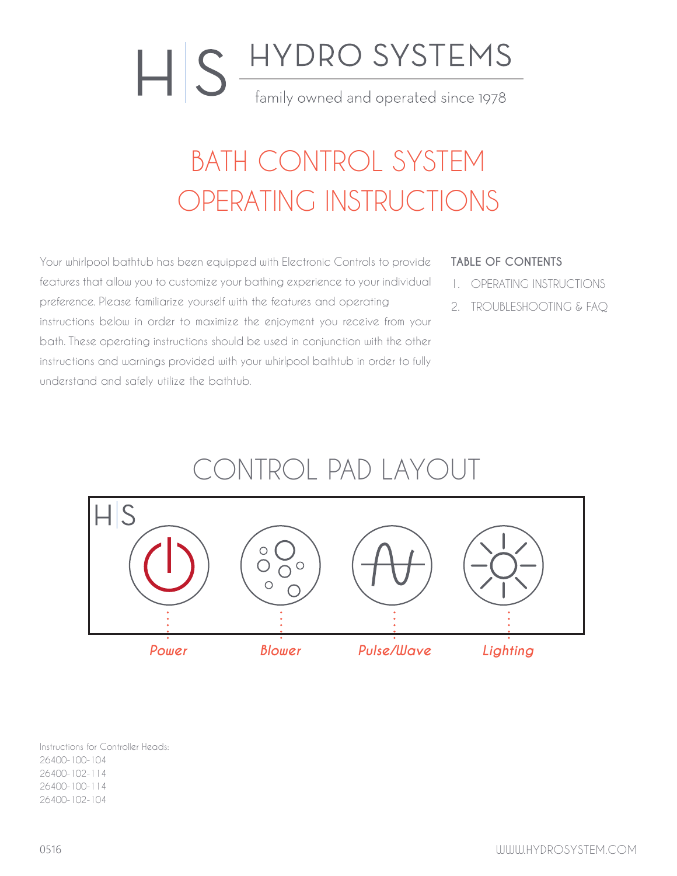# HIS HYDRO SYSTEMS family owned and operated since 1978

## BATH CONTROL SYSTEM OPERATING INSTRUCTIONS

Your whirlpool bathtub has been equipped with Electronic Controls to provide features that allow you to customize your bathing experience to your individual preference. Please familiarize yourself with the features and operating instructions below in order to maximize the enjoyment you receive from your bath. These operating instructions should be used in conjunction with the other instructions and warnings provided with your whirlpool bathtub in order to fully understand and safely utilize the bathtub.

#### **TABLE OF CONTENTS**

- 1. OPERATING INSTRUCTIONS
- 2. TROUBLESHOOTING & FAQ

### CONTROL PAD LAYOUT



Instructions for Controller Heads: 26400-100-104 26400-102-114 26400-100-114 26400-102-104